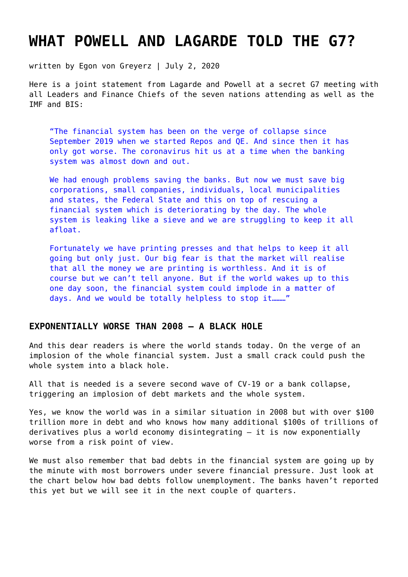# **[WHAT POWELL AND LAGARDE TOLD THE G7?](https://goldswitzerland.com/what-powell-and-lagarde-told-the-g7/)**

written by Egon von Greyerz | July 2, 2020

Here is a joint statement from Lagarde and Powell at a secret G7 meeting with all Leaders and Finance Chiefs of the seven nations attending as well as the IMF and BIS:

"The financial system has been on the verge of collapse since September 2019 when we started Repos and QE. And since then it has only got worse. The coronavirus hit us at a time when the banking system was almost down and out.

We had enough problems saving the banks. But now we must save big corporations, small companies, individuals, local municipalities and states, the Federal State and this on top of rescuing a financial system which is deteriorating by the day. The whole system is leaking like a sieve and we are struggling to keep it all afloat.

Fortunately we have printing presses and that helps to keep it all going but only just. Our big fear is that the market will realise that all the money we are printing is worthless. And it is of course but we can't tell anyone. But if the world wakes up to this one day soon, the financial system could implode in a matter of days. And we would be totally helpless to stop it………"

### **EXPONENTIALLY WORSE THAN 2008 – A BLACK HOLE**

And this dear readers is where the world stands today. On the verge of an implosion of the whole financial system. Just a small crack could push the whole system into a black hole.

All that is needed is a severe second wave of CV-19 or a bank collapse, triggering an implosion of debt markets and the whole system.

Yes, we know the world was in a similar situation in 2008 but with over \$100 trillion more in debt and who knows how many additional \$100s of trillions of derivatives plus a world economy disintegrating – it is now exponentially worse from a risk point of view.

We must also remember that bad debts in the financial system are going up by the minute with most borrowers under severe financial pressure. Just look at the chart below how bad debts follow unemployment. The banks haven't reported this yet but we will see it in the next couple of quarters.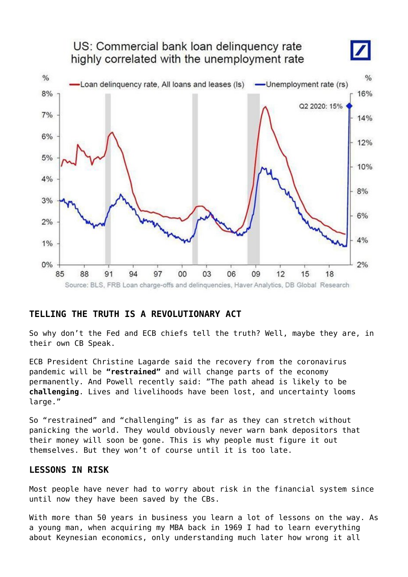

## **TELLING THE TRUTH IS A REVOLUTIONARY ACT**

So why don't the Fed and ECB chiefs tell the truth? Well, maybe they are, in their own CB Speak.

ECB President Christine Lagarde said the recovery from the coronavirus pandemic will be **"restrained"** and will change parts of the economy permanently. And Powell recently said: "The path ahead is likely to be **challenging**. Lives and livelihoods have been lost, and uncertainty looms large."

So "restrained" and "challenging" is as far as they can stretch without panicking the world. They would obviously never warn bank depositors that their money will soon be gone. This is why people must figure it out themselves. But they won't of course until it is too late.

### **LESSONS IN RISK**

Most people have never had to worry about risk in the financial system since until now they have been saved by the CBs.

With more than 50 years in business you learn a lot of lessons on the way. As a young man, when acquiring my MBA back in 1969 I had to learn everything about Keynesian economics, only understanding much later how wrong it all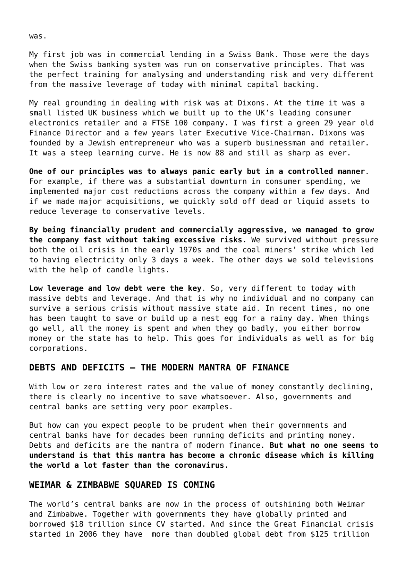My first job was in commercial lending in a Swiss Bank. Those were the days when the Swiss banking system was run on conservative principles. That was the perfect training for analysing and understanding risk and very different from the massive leverage of today with minimal capital backing.

My real grounding in dealing with risk was at Dixons. At the time it was a small listed UK business which we built up to the UK's leading consumer electronics retailer and a FTSE 100 company. I was first a green 29 year old Finance Director and a few years later Executive Vice-Chairman. Dixons was founded by a Jewish entrepreneur who was a superb businessman and retailer. It was a steep learning curve. He is now 88 and still as sharp as ever.

**One of our principles was to always panic early but in a controlled manner**. For example, if there was a substantial downturn in consumer spending, we implemented major cost reductions across the company within a few days. And if we made major acquisitions, we quickly sold off dead or liquid assets to reduce leverage to conservative levels.

**By being financially prudent and commercially aggressive, we managed to grow the company fast without taking excessive risks.** We survived without pressure both the oil crisis in the early 1970s and the coal miners' strike which led to having electricity only 3 days a week. The other days we sold televisions with the help of candle lights.

**Low leverage and low debt were the key**. So, very different to today with massive debts and leverage. And that is why no individual and no company can survive a serious crisis without massive state aid. In recent times, no one has been taught to save or build up a nest egg for a rainy day. When things go well, all the money is spent and when they go badly, you either borrow money or the state has to help. This goes for individuals as well as for big corporations.

#### **DEBTS AND DEFICITS – THE MODERN MANTRA OF FINANCE**

With low or zero interest rates and the value of money constantly declining, there is clearly no incentive to save whatsoever. Also, governments and central banks are setting very poor examples.

But how can you expect people to be prudent when their governments and central banks have for decades been running deficits and printing money. Debts and deficits are the mantra of modern finance. **But what no one seems to understand is that this mantra has become a chronic disease which is killing the world a lot faster than the coronavirus.**

#### **WEIMAR & ZIMBABWE SQUARED IS COMING**

The world's central banks are now in the process of outshining both Weimar and Zimbabwe. Together with governments they have globally printed and borrowed \$18 trillion since CV started. And since the Great Financial crisis started in 2006 they have more than doubled global debt from \$125 trillion

was.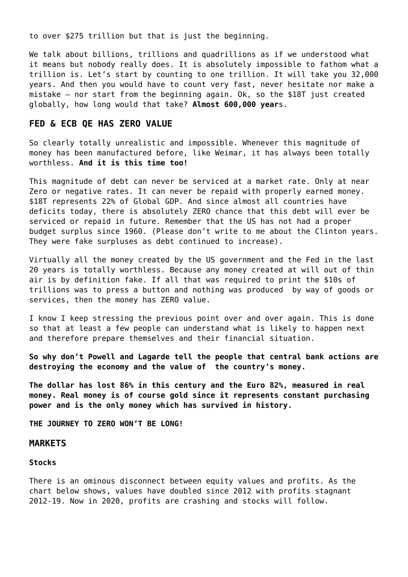to over \$275 trillion but that is just the beginning.

We talk about billions, trillions and quadrillions as if we understood what it means but nobody really does. It is absolutely impossible to fathom what a trillion is. Let's start by counting to one trillion. It will take you 32,000 years. And then you would have to count very fast, never hesitate nor make a mistake – nor start from the beginning again. Ok, so the \$18T just created globally, how long would that take? **Almost 600,000 year**s.

#### **FED & ECB QE HAS ZERO VALUE**

So clearly totally unrealistic and impossible. Whenever this magnitude of money has been manufactured before, like Weimar, it has always been totally worthless. **And it is this time too!**

This magnitude of debt can never be serviced at a market rate. Only at near Zero or negative rates. It can never be repaid with properly earned money. \$18T represents 22% of Global GDP. And since almost all countries have deficits today, there is absolutely ZERO chance that this debt will ever be serviced or repaid in future. Remember that the US has not had a proper budget surplus since 1960. (Please don't write to me about the Clinton years. They were fake surpluses as debt continued to increase).

Virtually all the money created by the US government and the Fed in the last 20 years is totally worthless. Because any money created at will out of thin air is by definition fake. If all that was required to print the \$10s of trillions was to press a button and nothing was produced by way of goods or services, then the money has ZERO value.

I know I keep stressing the previous point over and over again. This is done so that at least a few people can understand what is likely to happen next and therefore prepare themselves and their financial situation.

**So why don't Powell and Lagarde tell the people that central bank actions are destroying the economy and the value of the country's money.**

**The dollar has lost 86% in this century and the Euro 82%, measured in real money. Real money is of course gold since it represents constant purchasing power and is the only money which has survived in history.**

**THE JOURNEY TO ZERO WON'T BE LONG!**

#### **MARKETS**

#### **Stocks**

There is an ominous disconnect between equity values and profits. As the chart below shows, values have doubled since 2012 with profits stagnant 2012-19. Now in 2020, profits are crashing and stocks will follow.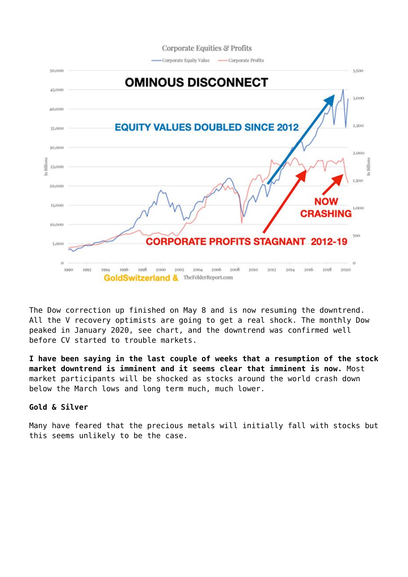

The Dow correction up finished on May 8 and is now resuming the downtrend. All the V recovery optimists are going to get a real shock. The monthly Dow peaked in January 2020, see chart, and the downtrend was confirmed well before CV started to trouble markets.

**I have been saying in the last couple of weeks that a resumption of the stock market downtrend is imminent and it seems clear that imminent is now.** Most market participants will be shocked as stocks around the world crash down below the March lows and long term much, much lower.

#### **Gold & Silver**

Many have feared that the precious metals will initially fall with stocks but this seems unlikely to be the case.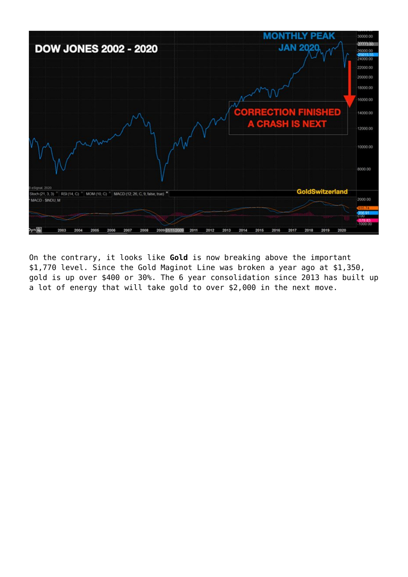

On the contrary, it looks like **Gold** is now breaking above the important \$1,770 level. Since the [Gold Maginot Line w](https://goldswitzerland.com/the-chinese-and-maginot-gold-lines/)as [broken a year ago at \\$1,350,](https://goldswitzerland.com/gold-maginot-line-broken-time-to-buy-insurance/) gold is up over \$400 or 30%. The 6 year consolidation since 2013 has built up a lot of energy that will take gold to over \$2,000 in the next move.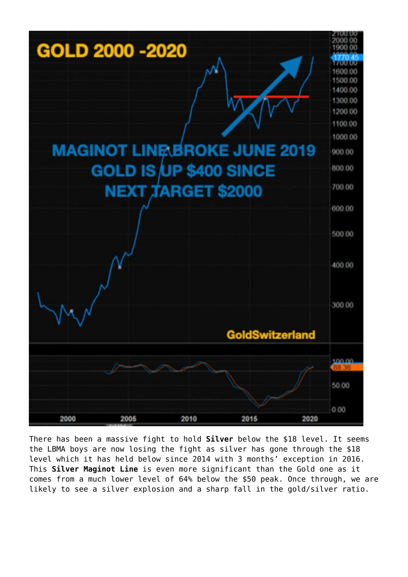

There has been a massive fight to hold **Silver** below the \$18 level. It seems the LBMA boys are now losing the fight as silver has gone through the \$18 level which it has held below since 2014 with 3 months' exception in 2016. This **Silver Maginot Line** is even more significant than the Gold one as it comes from a much lower level of 64% below the \$50 peak. Once through, we are likely to see a silver explosion and a sharp fall in the gold/silver ratio.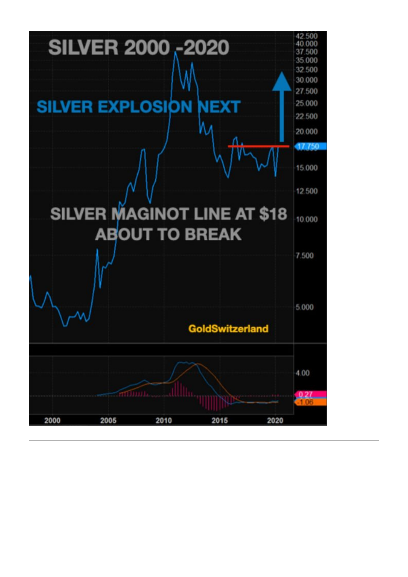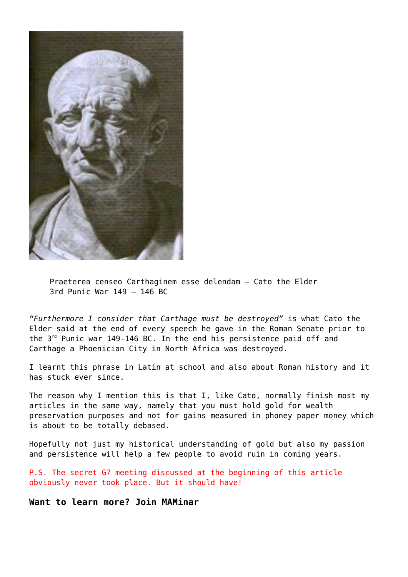

Praeterea censeo Carthaginem esse delendam – Cato the Elder 3rd Punic War 149 – 146 BC

*"Furthermore I consider that Carthage must be destroyed"* is what Cato the Elder said at the end of every speech he gave in the Roman Senate prior to the  $3^{rd}$  Punic war 149-146 BC. In the end his persistence paid off and Carthage a Phoenician City in North Africa was destroyed.

I learnt this phrase in Latin at school and also about Roman history and it has stuck ever since.

The reason why I mention this is that I, like Cato, normally finish most my articles in the same way, namely that you must hold gold for wealth preservation purposes and not for gains measured in phoney paper money which is about to be totally debased.

Hopefully not just my historical understanding of gold but also my passion and persistence will help a few people to avoid ruin in coming years.

P.S. The secret G7 meeting discussed at the beginning of this article obviously never took place. But it should have!

**Want to learn more? Join MAMinar**